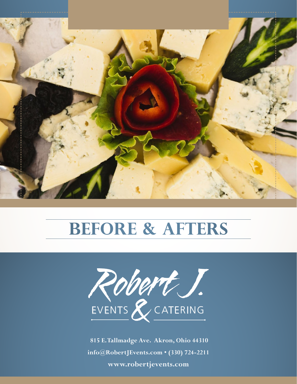



 **815 E. Tallmadge Ave. Akron, Ohio 44310 info@RobertJEvents.com • (330) 724-2211 www.robertjevents.com**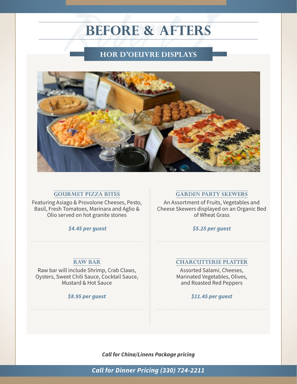

#### **GOURMET PIZZA BITES**

Featuring Asiago & Provolone Cheeses, Pesto, Basil, Fresh Tomatoes, Marinara and Aglio & Olio served on hot granite stones

 *\$4.45 per guest*

#### **RAW BAR**

Raw bar will include Shrimp, Crab Claws, Oysters, Sweet Chili Sauce, Cocktail Sauce, Mustard & Hot Sauce

#### *\$8.95 per guest*

#### **GARDEN PARTY SKEWERS**

An Assortment of Fruits, Vegetables and Cheese Skewers displayed on an Organic Bed of Wheat Grass

*\$5.25 per guest*

#### **CHARCUTTERIE PLATTER**

Assorted Salami, Cheeses, Marinated Vegetables, Olives, and Roasted Red Peppers

*\$11.45 per guest*

*Call for China/Linens Package pricing*

*Call for Dinner Pricing (330) 724-2211*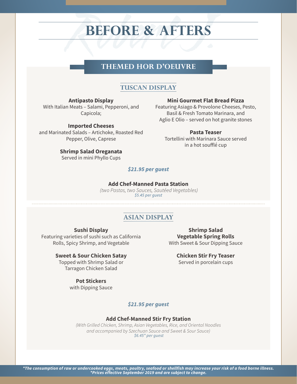# THEMED HOR D'OEUVRE **THEMED HOR D'OEUVRE**

#### **TUSCAN DISPLAY**

**Antipasto Display** With Italian Meats – Salami, Pepperoni, and Capicola;

**Imported Cheeses** and Marinated Salads – Artichoke, Roasted Red Pepper, Olive, Caprese

#### **Mini Gourmet Flat Bread Pizza**

Featuring Asiago & Provolone Cheeses, Pesto, Basil & Fresh Tomato Marinara, and Aglio E Olio – served on hot granite stones

**Pasta Teaser** Tortellini with Marinara Sauce served in a hot soufflé cup

#### **Shrimp Salad Oreganata**

Served in mini Phyllo Cups

#### *\$21.95 per guest*

#### **Add Chef-Manned Pasta Station**

 *(two Pastas, two Sauces, Sautéed Vegetables) \$5.45 per guest*

#### **ASIAN DISPLAY**

#### **Sushi Display**

Featuring varieties of sushi such as California Rolls, Spicy Shrimp, and Vegetable

> **Sweet & Sour Chicken Satay** Topped with Shrimp Salad or Tarragon Chicken Salad

#### **Pot Stickers**

with Dipping Sauce

**Shrimp Salad Vegetable Spring Rolls** With Sweet & Sour Dipping Sauce

> **Chicken Stir Fry Teaser** Served in porcelain cups

#### *\$21.95 per guest*

#### **Add Chef-Manned Stir Fry Station**

*(With Grilled Chicken, Shrimp, Asian Vegetables, Rice, and Oriental Noodles and accompanied by Szechuan Sauce and Sweet & Sour Sauce) \$6.45\* per guest*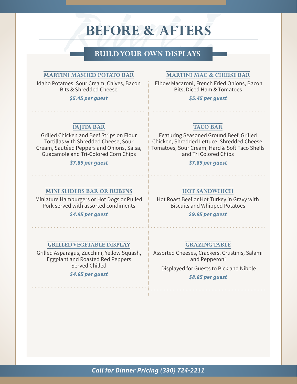# **BUILD YOUR OWN DISPLAYS<br>
<u>EXECUTED POTATO BAR</u><br>
EXECUTED POTATO BAR<br>
EXECUTED POTATO BAR<br>
EXECUTED POTATO BAR<br>
EXECUTED PORTAGALLY AND THE PROPERTY**

#### **MARTINI MASHED POTATO BAR**

Idaho Potatoes, Sour Cream, Chives, Bacon Bits & Shredded Cheese

*\$5.45 per guest*

#### **MARTINI MAC & CHEESE BAR**

 Elbow Macaroni, French Fried Onions, Bacon Bits, Diced Ham & Tomatoes

#### *\$5.45 per guest*

#### **FAJITA BAR**

Grilled Chicken and Beef Strips on Flour Tortillas with Shredded Cheese, Sour Cream, Sautéed Peppers and Onions, Salsa, Guacamole and Tri-Colored Corn Chips

#### *\$7.85 per guest*

#### **TACO BAR**

Featuring Seasoned Ground Beef, Grilled Chicken, Shredded Lettuce, Shredded Cheese, Tomatoes, Sour Cream, Hard & Soft Taco Shells and Tri Colored Chips

#### *\$7.85 per guest*

#### **MINI SLIDERS BAR OR RUBENS**

Miniature Hamburgers or Hot Dogs or Pulled Pork served with assorted condiments

#### *\$4.95 per guest*

#### **GRILLED VEGETABLE DISPLAY**

Grilled Asparagus, Zucchini, Yellow Squash, Eggplant and Roasted Red Peppers Served Chilled

#### *\$4.65 per guest*

#### **HOT SANDWHICH**

Hot Roast Beef or Hot Turkey in Gravy with Biscuits and Whipped Potatoes

*\$9.85 per guest* 

#### **GRAZING TABLE**

Assorted Cheeses, Crackers, Crustinis, Salami and Pepperoni

Displayed for Guests to Pick and Nibble

#### *\$8.85 per guest*

*Call for Dinner Pricing (330) 724-2211*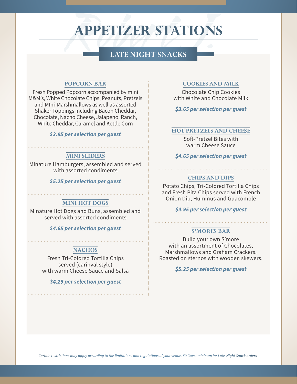## **APPETIZER STATIONS**

# EXECUTE NET SNACKS<br>
EXECUTE SNACKS<br>
EXECUTE SNACKS<br>
COOKIES AFRICAL **LATE NIGHT SNACKS**

#### **POPCORN BAR**

Fresh Popped Popcorn accompanied by mini M&M's, White Chocolate Chips, Peanuts, Pretzels and MIni-Marshmallows as well as assorted Shaker Toppings including Bacon Cheddar, Chocolate, Nacho Cheese, Jalapeno, Ranch, White Cheddar, Caramel and Kettle Corn

#### *\$3.95 per selection per guest*

#### **MINI SLIDERS**

Minature Hamburgers, assembled and served with assorted condiments

#### *\$5.25 per selection per guest*

#### **MINI HOT DOGS**

Minature Hot Dogs and Buns, assembled and served with assorted condiments

*\$4.65 per selection per guest*

#### **NACHOS**

Fresh Tri-Colored Tortilla Chips served (carinval style) with warm Cheese Sauce and Salsa

*\$4.25 per selection per guest*

#### **COOKIES AND MILK**

Chocolate Chip Cookies with White and Chocolate Milk

*\$3.65 per selection per guest*

#### **HOT PRETZELS AND CHEESE**

Soft-Pretzel Bites with warm Cheese Sauce

*\$4.65 per selection per guest*

#### **CHIPS AND DIPS**

Potato Chips, Tri-Colored Tortilla Chips and Fresh Pita Chips served with French Onion Dip, Hummus and Guacomole

*\$4.95 per selection per guest*

#### **S'MORES BAR**

Build your own S'more with an assortment of Chocolates, Marshmallows and Graham Crackers. Roasted on sternos with wooden skewers.

#### *\$5.25 per selection per guest*

*Certain restrictions may apply according to the limitations and regulations of your venue. 50 Guest mininum for Late-Night Snack orders.*